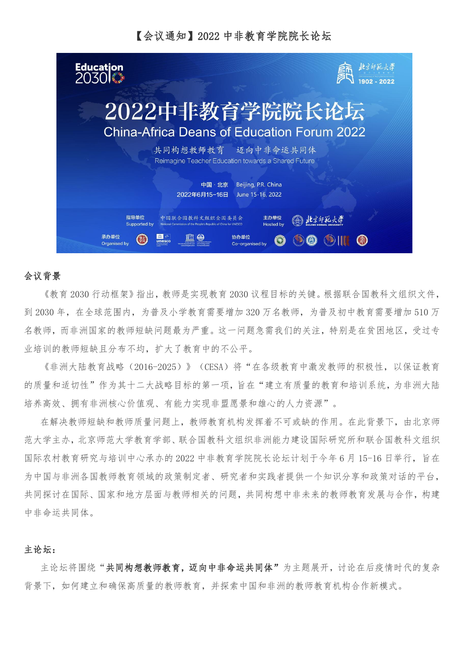【会议通知】2022 中非教育学院院长论坛



## 会议背景

《教育 2030 行动框架》指出,教师是实现教育 2030 议程目标的关键。根据联合国教科文组织文件, 到 2030 年, 在全球范围内, 为普及小学教育需要增加 320 万名教师, 为普及初中教育需要增加 510 万 名教师,而非洲国家的教师短缺问题最为严重。这一问题急需我们的关注,特别是在贫困地区,受过专 业培训的教师短缺且分布不均,扩大了教育中的不公平。

《非洲大陆教育战略(2016-2025)》(CESA)将"在各级教育中激发教师的积极性,以保证教育 的质量和适切性"作为其十二大战略目标的第一项,旨在"建立有质量的教育和培训系统,为非洲大陆 培养高效、拥有非洲核心价值观、有能力实现非盟愿景和雄心的人力资源"。

在解决教师短缺和教师质量问题上,教师教育机构发挥着不可或缺的作用。在此背景下,由北京师 范大学主办,北京师范大学教育学部、联合国教科文组织非洲能力建设国际研究所和联合国教科文组织 国际农村教育研究与培训中心承办的 2022 中非教育学院院长论坛计划于今年 6 月 15-16 日举行, 旨在 为中国与非洲各国教师教育领域的政策制定者、研究者和实践者提供一个知识分享和政策对话的平台, 共同探讨在国际、国家和地方层面与教师相关的问题,共同构想中非未来的教师教育发展与合作,构建 中非命运共同体。

#### 主论坛:

主论坛将围绕"共同构想教师教育,迈向中非命运共同体"为主题展开,讨论在后疫情时代的复杂 背景下,如何建立和确保高质量的教师教育,并探索中国和非洲的教师教育机构合作新模式。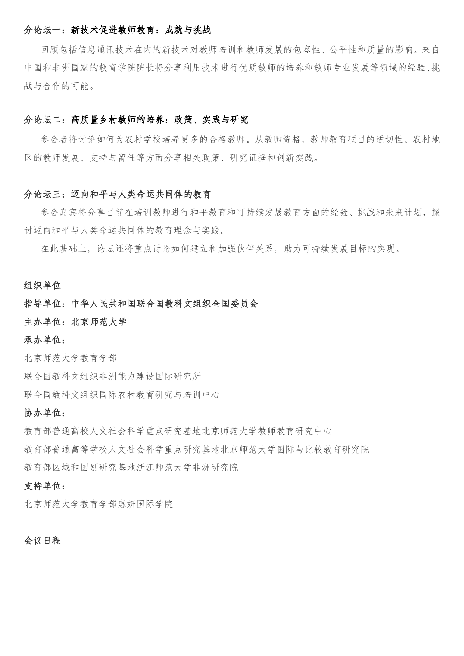## 分论坛一:新技术促进教师教育:成就与挑战

回顾包括信息通讯技术在内的新技术对教师培训和教师发展的包容性、公平性和质量的影响。来自 中国和非洲国家的教育学院院长将分享利用技术进行优质教师的培养和教师专业发展等领域的经验、挑 战与合作的可能。

#### 分论坛二:高质量乡村教师的培养:政策、实践与研究

参会者将讨论如何为农村学校培养更多的合格教师。从教师资格、教师教育项目的适切性、农村地 区的教师发展、支持与留任等方面分享相关政策、研究证据和创新实践。

#### 分论坛三:迈向和平与人类命运共同体的教育

参会嘉宾将分享目前在培训教师进行和平教育和可持续发展教育方面的经验、挑战和未来计划,探 讨迈向和平与人类命运共同体的教育理念与实践。

在此基础上,论坛还将重点讨论如何建立和加强伙伴关系,助力可持续发展目标的实现。

#### 组织单位

### 指导单位:中华人民共和国联合国教科文组织全国委员会

#### 主办单位:北京师范大学

#### 承办单位:

北京师范大学教育学部 联合国教科文组织非洲能力建设国际研究所

联合国教科文组织国际农村教育研究与培训中心

#### 协办单位:

教育部普通高校人文社会科学重点研究基地北京师范大学教师教育研究中心 教育部普通高等学校人文社会科学重点研究基地北京师范大学国际与比较教育研究院 教育部区域和国别研究基地浙江师范大学非洲研究院

## 支持单位:

北京师范大学教育学部惠妍国际学院

#### 会议日程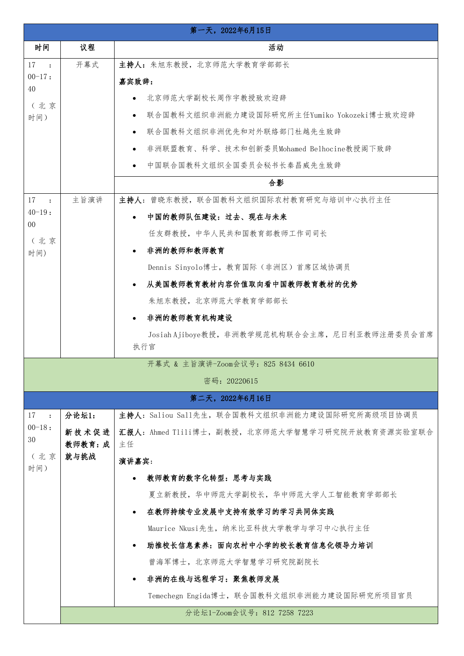|                      |                 | 第一天, 2022年6月15日                                         |
|----------------------|-----------------|---------------------------------------------------------|
| 时间                   | 议程              | 活动                                                      |
| $17$ :               | 开幕式             | 主持人: 朱旭东教授, 北京师范大学教育学部部长                                |
| $00-17:$<br>40       |                 | 嘉宾致辞:                                                   |
| (北京                  |                 | 北京师范大学副校长周作宇教授致欢迎辞                                      |
| 时间)                  |                 | ● 联合国教科文组织非洲能力建设国际研究所主任Yumiko Yokozeki博士致欢迎辞            |
|                      |                 | • 联合国教科文组织非洲优先和对外联络部门杜越先生致辞                             |
|                      |                 | 非洲联盟教育、科学、技术和创新委员Mohamed Belhocine教授阁下致辞<br>$\bullet$   |
|                      |                 | 中国联合国教科文组织全国委员会秘书长秦昌威先生致辞<br>$\bullet$                  |
|                      |                 | 合影                                                      |
| 17<br>$\sim$ 1.      | 主旨演讲            | 主持人: 曾晓东教授, 联合国教科文组织国际农村教育研究与培训中心执行主任                   |
| $40 - 19:$<br>$00\,$ |                 | 中国的教师队伍建设: 过去、现在与未来                                     |
| (北京                  |                 | 任友群教授, 中华人民共和国教育部教师工作司司长                                |
| 时间)                  |                 | 非洲的教师和教师教育<br>$\bullet$                                 |
|                      |                 | Dennis Sinyolo博士, 教育国际(非洲区)首席区域协调员                      |
|                      |                 | • 从美国教师教育教材内容价值取向看中国教师教育教材的优势                           |
|                      |                 | 朱旭东教授, 北京师范大学教育学部部长                                     |
|                      |                 | • 非洲的教师教育机构建设                                           |
|                      |                 | Josiah Ajiboye教授, 非洲教学规范机构联合会主席, 尼日利亚教师注册委员会首席<br>执行官   |
|                      |                 | 开幕式 & 主旨演讲-Zoom会议号: 825 8434 6610                       |
|                      |                 | 密码: 20220615                                            |
|                      |                 | 第二天, 2022年6月16日                                         |
| $17$ :               | 分论坛1:           | 主持人: Saliou Sall先生, 联合国教科文组织非洲能力建设国际研究所高级项目协调员          |
| $00-18:$<br>30       | 新技术促进<br>教师教育:成 | 汇报人: Ahmed Tlili博士, 副教授, 北京师范大学智慧学习研究院开放教育资源实验室联合<br>主任 |
| (北京<br>时间)           | 就与挑战            | 演讲嘉宾:                                                   |
|                      |                 | 教师教育的数字化转型: 思考与实践                                       |
|                      |                 | 夏立新教授, 华中师范大学副校长, 华中师范大学人工智能教育学部部长                      |
|                      |                 | 在教师持续专业发展中支持有效学习的学习共同体实践<br>$\bullet$                   |
|                      |                 | Maurice Nkusi先生, 纳米比亚科技大学教学与学习中心执行主任                    |
|                      |                 | 助推校长信息素养: 面向农村中小学的校长教育信息化领导力培训<br>$\bullet$             |
|                      |                 | 曾海军博士, 北京师范大学智慧学习研究院副院长                                 |
|                      |                 | 非洲的在线与远程学习: 聚焦教师发展<br>$\bullet$                         |
|                      |                 | Temechegn Engida博士, 联合国教科文组织非洲能力建设国际研究所项目官员             |
|                      |                 | 分论坛1-Zoom会议号: 812 7258 7223                             |
|                      |                 |                                                         |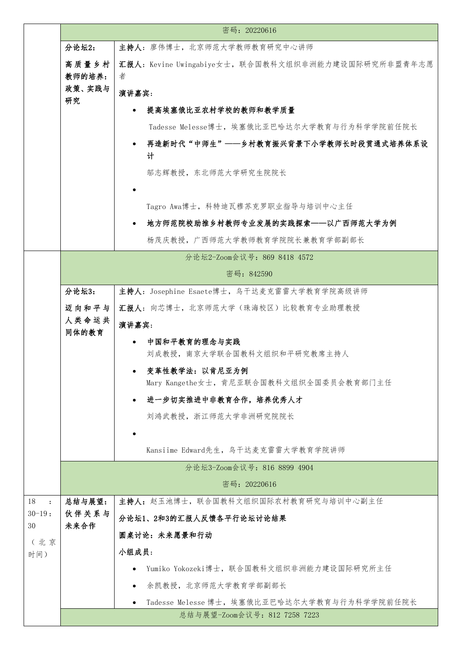|                                | 密码: 20220616                                                          |
|--------------------------------|-----------------------------------------------------------------------|
| 分论坛2:                          | 主持人: 廖伟博士, 北京师范大学教师教育研究中心讲师                                           |
| 高质量乡村<br>教师的培养:<br>政策、实践与      | 汇报人: Kevine Uwingabiye女士, 联合国教科文组织非洲能力建设国际研究所非盟青年志愿<br>者<br>演讲嘉宾:     |
| 研究                             | 提高埃塞俄比亚农村学校的教师和教学质量                                                   |
|                                | Tadesse Melesse博士, 埃塞俄比亚巴哈达尔大学教育与行为科学学院前任院长                           |
|                                | 再造新时代"中师生"——乡村教育振兴背景下小学教师长时段贯通式培养体系设<br>计                             |
|                                | 邬志辉教授,东北师范大学研究生院院长                                                    |
|                                | Tagro Awa博士, 科特迪瓦穆苏克罗职业指导与培训中心主任                                      |
|                                | 地方师范院校助推乡村教师专业发展的实践探索——以广西师范大学为例<br>$\bullet$                         |
|                                | 杨茂庆教授, 广西师范大学教师教育学院院长兼教育学部副部长                                         |
|                                | 分论坛2-Zoom会议号: 869 8418 4572                                           |
|                                | 密码: 842590                                                            |
| 分论坛3:                          | 主持人: Josephine Esaete博士, 乌干达麦克雷雷大学教育学院高级讲师                            |
| 迈向和平与<br>人类命运共<br>同体的教育        | 汇报人: 向芯博士, 北京师范大学(珠海校区)比较教育专业助理教授<br>演讲嘉宾:                            |
|                                | • 中国和平教育的理念与实践<br>刘成教授, 南京大学联合国教科文组织和平研究教席主持人                         |
|                                | 变革性教学法: 以肯尼亚为例<br>Mary Kangethe女士, 肯尼亚联合国教科文组织全国委员会教育部门主任             |
|                                | 进一步切实推进中非教育合作, 培养优秀人才<br>$\bullet$                                    |
|                                | 刘鸿武教授, 浙江师范大学非洲研究院院长                                                  |
|                                |                                                                       |
|                                | Kansiime Edward先生, 鸟干达麦克雷雷大学教育学院讲师                                    |
|                                | 分论坛3-Zoom会议号: 816 8899 4904                                           |
|                                | 密码: 20220616                                                          |
| 总结与展望:<br>$\ddot{\phantom{0}}$ | 主持人: 赵玉池博士, 联合国教科文组织国际农村教育研究与培训中心副主任                                  |
| 伙伴关系与<br>$30-19:$<br>未来合作      | 分论坛1、2和3的汇报人反馈各平行论坛讨论结果                                               |
| (北京                            | 圆桌讨论: 未来愿景和行动                                                         |
| 时间)                            | 小组成员:                                                                 |
|                                | • Yumiko Yokozeki博士, 联合国教科文组织非洲能力建设国际研究所主任                            |
|                                |                                                                       |
|                                | • 余凯教授, 北京师范大学教育学部副部长<br>Tadesse Melesse 博士, 埃塞俄比亚巴哈达尔大学教育与行为科学学院前任院长 |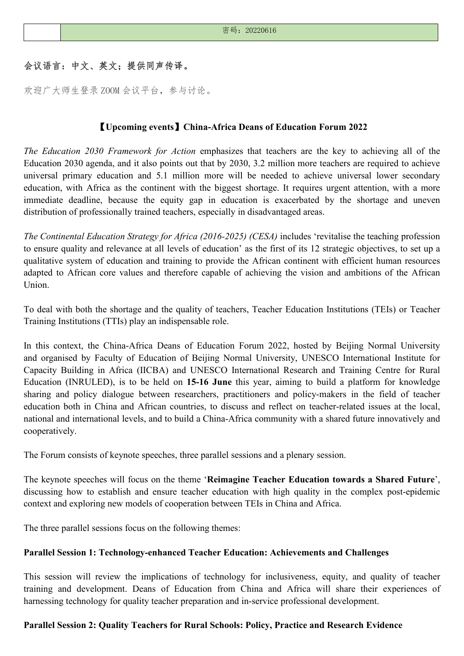## 会议语言:中文、英文;提供同声传译。

欢迎广大师生登录 ZOOM 会议平台,参与讨论。

## 【**Upcoming events**】**China-Africa Deans of Education Forum 2022**

*The Education 2030 Framework for Action* emphasizes that teachers are the key to achieving all of the Education 2030 agenda, and it also points out that by 2030, 3.2 million more teachers are required to achieve universal primary education and 5.1 million more will be needed to achieve universal lower secondary education, with Africa as the continent with the biggest shortage. It requires urgent attention, with a more immediate deadline, because the equity gap in education is exacerbated by the shortage and uneven distribution of professionally trained teachers, especially in disadvantaged areas.

*The Continental Education Strategy for Africa (2016-2025) (CESA)* includes 'revitalise the teaching profession to ensure quality and relevance at all levels of education' as the first of its 12 strategic objectives, to set up a qualitative system of education and training to provide the African continent with efficient human resources adapted to African core values and therefore capable of achieving the vision and ambitions of the African Union.

To deal with both the shortage and the quality of teachers, Teacher Education Institutions (TEIs) or Teacher Training Institutions (TTIs) play an indispensable role.

In this context, the China-Africa Deans of Education Forum 2022, hosted by Beijing Normal University and organised by Faculty of Education of Beijing Normal University, UNESCO International Institute for Capacity Building in Africa (IICBA) and UNESCO International Research and Training Centre for Rural Education (INRULED), is to be held on **15-16 June** this year, aiming to build a platform for knowledge sharing and policy dialogue between researchers, practitioners and policy-makers in the field of teacher education both in China and African countries, to discuss and reflect on teacher-related issues at the local, national and international levels, and to build a China-Africa community with a shared future innovatively and cooperatively.

The Forum consists of keynote speeches, three parallel sessions and a plenary session.

The keynote speeches will focus on the theme '**Reimagine Teacher Education towards a Shared Future**', discussing how to establish and ensure teacher education with high quality in the complex post-epidemic context and exploring new models of cooperation between TEIs in China and Africa.

The three parallel sessions focus on the following themes:

## **Parallel Session 1: Technology-enhanced Teacher Education: Achievements and Challenges**

This session will review the implications of technology for inclusiveness, equity, and quality of teacher training and development. Deans of Education from China and Africa will share their experiences of harnessing technology for quality teacher preparation and in-service professional development.

## **Parallel Session 2: Quality Teachers for Rural Schools: Policy, Practice and Research Evidence**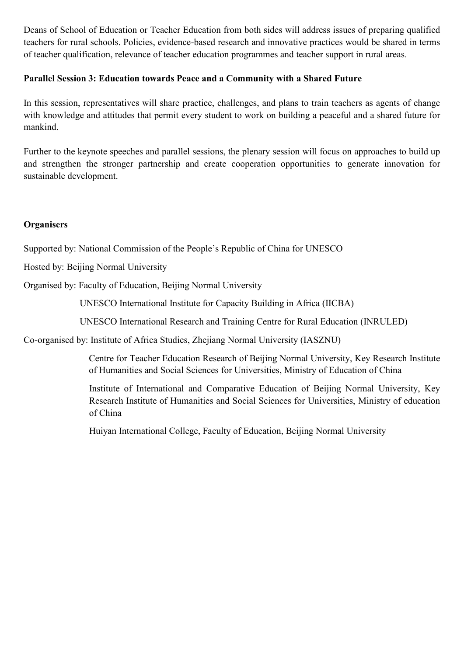Deans of School of Education or Teacher Education from both sides will address issues of preparing qualified teachers for rural schools. Policies, evidence-based research and innovative practices would be shared in terms of teacher qualification, relevance of teacher education programmes and teacher support in rural areas.

## **Parallel Session 3: Education towards Peace and a Community with a Shared Future**

In this session, representatives will share practice, challenges, and plans to train teachers as agents of change with knowledge and attitudes that permit every student to work on building a peaceful and a shared future for mankind.

Further to the keynote speeches and parallel sessions, the plenary session will focus on approaches to build up and strengthen the stronger partnership and create cooperation opportunities to generate innovation for sustainable development.

## **Organisers**

Supported by: National Commission of the People's Republic of China for UNESCO

Hosted by: Beijing Normal University

Organised by: Faculty of Education, Beijing Normal University

UNESCO International Institute for Capacity Building in Africa (IICBA)

UNESCO International Research and Training Centre for Rural Education (INRULED)

Co-organised by: Institute of Africa Studies, Zhejiang Normal University (IASZNU)

Centre for Teacher Education Research of Beijing Normal University, Key Research Institute of Humanities and Social Sciences for Universities, Ministry of Education of China

Institute of International and Comparative Education of Beijing Normal University, Key Research Institute of Humanities and Social Sciences for Universities, Ministry of education of China

Huiyan International College, Faculty of Education, Beijing Normal University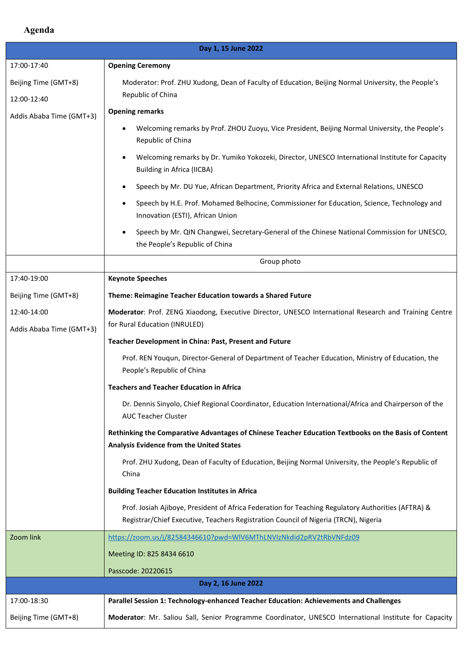## **Agenda**

|                                     | Day 1, 15 June 2022                                                                                                                                                                       |
|-------------------------------------|-------------------------------------------------------------------------------------------------------------------------------------------------------------------------------------------|
| 17:00-17:40                         | <b>Opening Ceremony</b>                                                                                                                                                                   |
| Beijing Time (GMT+8)<br>12:00-12:40 | Moderator: Prof. ZHU Xudong, Dean of Faculty of Education, Beijing Normal University, the People's<br>Republic of China                                                                   |
| Addis Ababa Time (GMT+3)            | <b>Opening remarks</b>                                                                                                                                                                    |
|                                     | Welcoming remarks by Prof. ZHOU Zuoyu, Vice President, Beijing Normal University, the People's<br>Republic of China                                                                       |
|                                     | Welcoming remarks by Dr. Yumiko Yokozeki, Director, UNESCO International Institute for Capacity<br><b>Building in Africa (IICBA)</b>                                                      |
|                                     | Speech by Mr. DU Yue, African Department, Priority Africa and External Relations, UNESCO                                                                                                  |
|                                     | Speech by H.E. Prof. Mohamed Belhocine, Commissioner for Education, Science, Technology and<br>Innovation (ESTI), African Union                                                           |
|                                     | Speech by Mr. QIN Changwei, Secretary-General of the Chinese National Commission for UNESCO,<br>the People's Republic of China                                                            |
|                                     | Group photo                                                                                                                                                                               |
| 17:40-19:00                         | <b>Keynote Speeches</b>                                                                                                                                                                   |
| Beijing Time (GMT+8)                | Theme: Reimagine Teacher Education towards a Shared Future                                                                                                                                |
| 12:40-14:00                         | Moderator: Prof. ZENG Xiaodong, Executive Director, UNESCO International Research and Training Centre                                                                                     |
| Addis Ababa Time (GMT+3)            | for Rural Education (INRULED)                                                                                                                                                             |
|                                     | Teacher Development in China: Past, Present and Future                                                                                                                                    |
|                                     | Prof. REN Youqun, Director-General of Department of Teacher Education, Ministry of Education, the<br>People's Republic of China                                                           |
|                                     | <b>Teachers and Teacher Education in Africa</b>                                                                                                                                           |
|                                     | Dr. Dennis Sinyolo, Chief Regional Coordinator, Education International/Africa and Chairperson of the<br><b>AUC Teacher Cluster</b>                                                       |
|                                     | Rethinking the Comparative Advantages of Chinese Teacher Education Textbooks on the Basis of Content<br>Analysis Evidence from the United States                                          |
|                                     | Prof. ZHU Xudong, Dean of Faculty of Education, Beijing Normal University, the People's Republic of<br>China                                                                              |
|                                     | <b>Building Teacher Education Institutes in Africa</b>                                                                                                                                    |
|                                     | Prof. Josiah Ajiboye, President of Africa Federation for Teaching Regulatory Authorities (AFTRA) &<br>Registrar/Chief Executive, Teachers Registration Council of Nigeria (TRCN), Nigeria |
| Zoom link                           | https://zoom.us/j/82584346610?pwd=WIV6MThLNVIzNkdid2pRV2tRbVNFdz09                                                                                                                        |
|                                     | Meeting ID: 825 8434 6610                                                                                                                                                                 |
|                                     | Passcode: 20220615                                                                                                                                                                        |
|                                     | Day 2, 16 June 2022                                                                                                                                                                       |
| 17:00-18:30                         | Parallel Session 1: Technology-enhanced Teacher Education: Achievements and Challenges                                                                                                    |
| Beijing Time (GMT+8)                | Moderator: Mr. Saliou Sall, Senior Programme Coordinator, UNESCO International Institute for Capacity                                                                                     |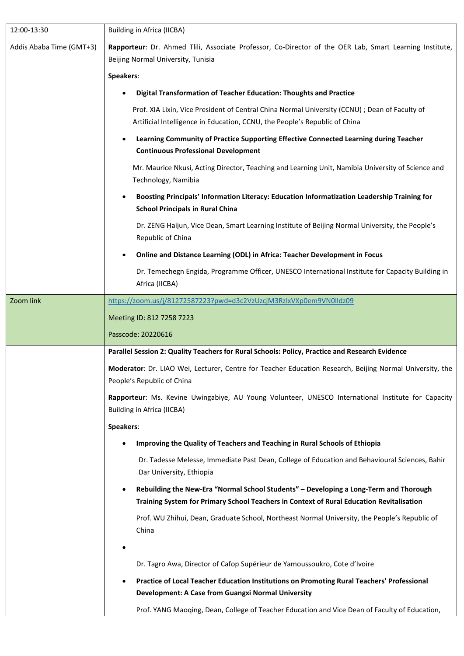| 12:00-13:30              | <b>Building in Africa (IICBA)</b>                                                                                                                                                      |
|--------------------------|----------------------------------------------------------------------------------------------------------------------------------------------------------------------------------------|
| Addis Ababa Time (GMT+3) | Rapporteur: Dr. Ahmed Tlili, Associate Professor, Co-Director of the OER Lab, Smart Learning Institute,<br>Beijing Normal University, Tunisia                                          |
|                          | Speakers:                                                                                                                                                                              |
|                          | <b>Digital Transformation of Teacher Education: Thoughts and Practice</b><br>٠                                                                                                         |
|                          | Prof. XIA Lixin, Vice President of Central China Normal University (CCNU) ; Dean of Faculty of<br>Artificial Intelligence in Education, CCNU, the People's Republic of China           |
|                          | Learning Community of Practice Supporting Effective Connected Learning during Teacher<br><b>Continuous Professional Development</b>                                                    |
|                          | Mr. Maurice Nkusi, Acting Director, Teaching and Learning Unit, Namibia University of Science and<br>Technology, Namibia                                                               |
|                          | Boosting Principals' Information Literacy: Education Informatization Leadership Training for<br><b>School Principals in Rural China</b>                                                |
|                          | Dr. ZENG Haijun, Vice Dean, Smart Learning Institute of Beijing Normal University, the People's<br>Republic of China                                                                   |
|                          | Online and Distance Learning (ODL) in Africa: Teacher Development in Focus                                                                                                             |
|                          | Dr. Temechegn Engida, Programme Officer, UNESCO International Institute for Capacity Building in<br>Africa (IICBA)                                                                     |
| Zoom link                | https://zoom.us/j/81272587223?pwd=d3c2VzUzcjM3RzlxVXp0em9VN0lldz09                                                                                                                     |
|                          | Meeting ID: 812 7258 7223                                                                                                                                                              |
|                          | Passcode: 20220616                                                                                                                                                                     |
|                          | Parallel Session 2: Quality Teachers for Rural Schools: Policy, Practice and Research Evidence                                                                                         |
|                          | Moderator: Dr. LIAO Wei, Lecturer, Centre for Teacher Education Research, Beijing Normal University, the<br>People's Republic of China                                                 |
|                          | Rapporteur: Ms. Kevine Uwingabiye, AU Young Volunteer, UNESCO International Institute for Capacity<br><b>Building in Africa (IICBA)</b>                                                |
|                          | Speakers:                                                                                                                                                                              |
|                          | Improving the Quality of Teachers and Teaching in Rural Schools of Ethiopia<br>٠                                                                                                       |
|                          | Dr. Tadesse Melesse, Immediate Past Dean, College of Education and Behavioural Sciences, Bahir<br>Dar University, Ethiopia                                                             |
|                          | Rebuilding the New-Era "Normal School Students" - Developing a Long-Term and Thorough<br>٠<br>Training System for Primary School Teachers in Context of Rural Education Revitalisation |
|                          | Prof. WU Zhihui, Dean, Graduate School, Northeast Normal University, the People's Republic of<br>China                                                                                 |
|                          |                                                                                                                                                                                        |
|                          | Dr. Tagro Awa, Director of Cafop Supérieur de Yamoussoukro, Cote d'Ivoire                                                                                                              |
|                          | Practice of Local Teacher Education Institutions on Promoting Rural Teachers' Professional<br>$\bullet$<br><b>Development: A Case from Guangxi Normal University</b>                   |
|                          | Prof. YANG Maoqing, Dean, College of Teacher Education and Vice Dean of Faculty of Education,                                                                                          |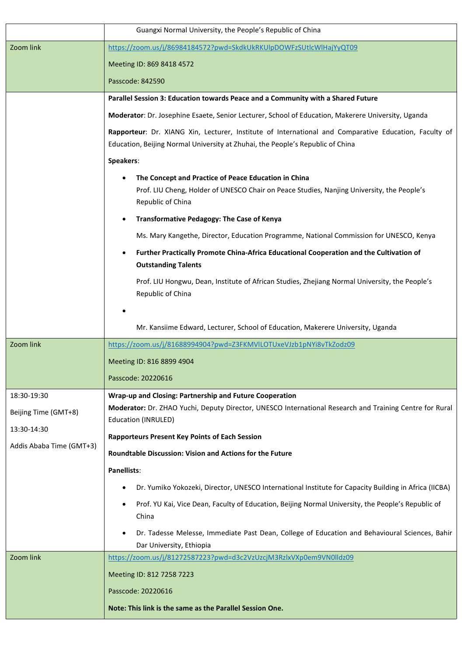|                          | Guangxi Normal University, the People's Republic of China                                                                                                                               |
|--------------------------|-----------------------------------------------------------------------------------------------------------------------------------------------------------------------------------------|
| Zoom link                | https://zoom.us/j/86984184572?pwd=SkdkUkRKUlpDOWFzSUtlcWlHajYyQT09                                                                                                                      |
|                          | Meeting ID: 869 8418 4572                                                                                                                                                               |
|                          | Passcode: 842590                                                                                                                                                                        |
|                          | Parallel Session 3: Education towards Peace and a Community with a Shared Future                                                                                                        |
|                          | Moderator: Dr. Josephine Esaete, Senior Lecturer, School of Education, Makerere University, Uganda                                                                                      |
|                          | Rapporteur: Dr. XIANG Xin, Lecturer, Institute of International and Comparative Education, Faculty of<br>Education, Beijing Normal University at Zhuhai, the People's Republic of China |
|                          | Speakers:                                                                                                                                                                               |
|                          | The Concept and Practice of Peace Education in China<br>$\bullet$<br>Prof. LIU Cheng, Holder of UNESCO Chair on Peace Studies, Nanjing University, the People's<br>Republic of China    |
|                          | <b>Transformative Pedagogy: The Case of Kenya</b><br>$\bullet$                                                                                                                          |
|                          | Ms. Mary Kangethe, Director, Education Programme, National Commission for UNESCO, Kenya                                                                                                 |
|                          | Further Practically Promote China-Africa Educational Cooperation and the Cultivation of<br>$\bullet$<br><b>Outstanding Talents</b>                                                      |
|                          | Prof. LIU Hongwu, Dean, Institute of African Studies, Zhejiang Normal University, the People's<br>Republic of China                                                                     |
|                          |                                                                                                                                                                                         |
|                          | Mr. Kansiime Edward, Lecturer, School of Education, Makerere University, Uganda                                                                                                         |
|                          |                                                                                                                                                                                         |
| Zoom link                | https://zoom.us/j/81688994904?pwd=Z3FKMVlLOTUxeVJzb1pNYi8vTkZodz09                                                                                                                      |
|                          | Meeting ID: 816 8899 4904                                                                                                                                                               |
|                          | Passcode: 20220616                                                                                                                                                                      |
| 18:30-19:30              | Wrap-up and Closing: Partnership and Future Cooperation                                                                                                                                 |
| Beijing Time (GMT+8)     | Moderator: Dr. ZHAO Yuchi, Deputy Director, UNESCO International Research and Training Centre for Rural                                                                                 |
| 13:30-14:30              | <b>Education (INRULED)</b>                                                                                                                                                              |
| Addis Ababa Time (GMT+3) | <b>Rapporteurs Present Key Points of Each Session</b>                                                                                                                                   |
|                          | Roundtable Discussion: Vision and Actions for the Future                                                                                                                                |
|                          | <b>Panellists:</b>                                                                                                                                                                      |
|                          | Dr. Yumiko Yokozeki, Director, UNESCO International Institute for Capacity Building in Africa (IICBA)<br>$\bullet$                                                                      |
|                          | Prof. YU Kai, Vice Dean, Faculty of Education, Beijing Normal University, the People's Republic of<br>$\bullet$<br>China                                                                |
|                          | Dr. Tadesse Melesse, Immediate Past Dean, College of Education and Behavioural Sciences, Bahir<br>$\bullet$<br>Dar University, Ethiopia                                                 |
| Zoom link                | https://zoom.us/j/81272587223?pwd=d3c2VzUzcjM3RzlxVXp0em9VN0lldz09                                                                                                                      |
|                          | Meeting ID: 812 7258 7223                                                                                                                                                               |
|                          | Passcode: 20220616                                                                                                                                                                      |